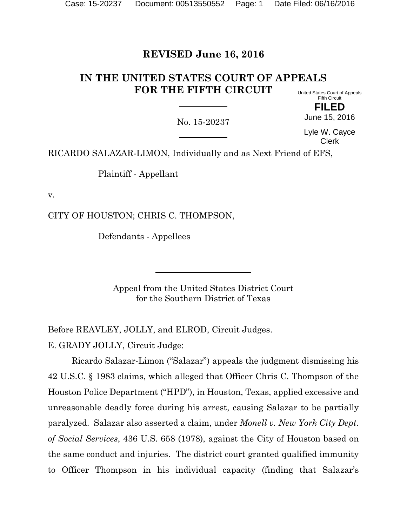# **REVISED June 16, 2016**

#### **IN THE UNITED STATES COURT OF APPEALS FOR THE FIFTH CIRCUIT** United States Court of Appeals

Fifth Circuit **FILED**

No. 15-20237

Lyle W. Cayce Clerk

June 15, 2016

RICARDO SALAZAR-LIMON, Individually and as Next Friend of EFS,

Plaintiff - Appellant

v.

CITY OF HOUSTON; CHRIS C. THOMPSON,

Defendants - Appellees

Appeal from the United States District Court for the Southern District of Texas

Before REAVLEY, JOLLY, and ELROD, Circuit Judges.

E. GRADY JOLLY, Circuit Judge:

Ricardo Salazar-Limon ("Salazar") appeals the judgment dismissing his 42 U.S.C. § 1983 claims, which alleged that Officer Chris C. Thompson of the Houston Police Department ("HPD"), in Houston, Texas, applied excessive and unreasonable deadly force during his arrest, causing Salazar to be partially paralyzed. Salazar also asserted a claim, under *Monell v. New York City Dept. of Social Services*, 436 U.S. 658 (1978), against the City of Houston based on the same conduct and injuries. The district court granted qualified immunity to Officer Thompson in his individual capacity (finding that Salazar's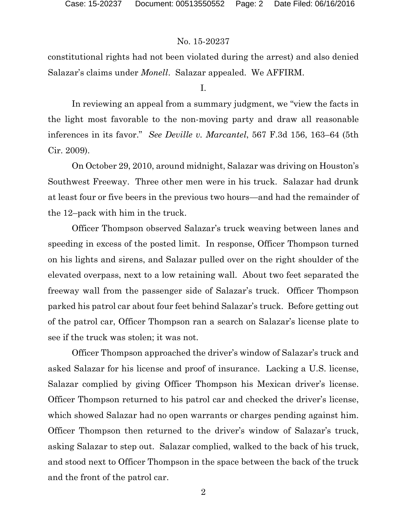constitutional rights had not been violated during the arrest) and also denied Salazar's claims under *Monell*. Salazar appealed. We AFFIRM.

I.

In reviewing an appeal from a summary judgment, we "view the facts in the light most favorable to the non-moving party and draw all reasonable inferences in its favor." *See Deville v. Marcantel*, 567 F.3d 156, 163–64 (5th Cir. 2009).

On October 29, 2010, around midnight, Salazar was driving on Houston's Southwest Freeway. Three other men were in his truck. Salazar had drunk at least four or five beers in the previous two hours—and had the remainder of the 12–pack with him in the truck.

Officer Thompson observed Salazar's truck weaving between lanes and speeding in excess of the posted limit. In response, Officer Thompson turned on his lights and sirens, and Salazar pulled over on the right shoulder of the elevated overpass, next to a low retaining wall. About two feet separated the freeway wall from the passenger side of Salazar's truck. Officer Thompson parked his patrol car about four feet behind Salazar's truck. Before getting out of the patrol car, Officer Thompson ran a search on Salazar's license plate to see if the truck was stolen; it was not.

Officer Thompson approached the driver's window of Salazar's truck and asked Salazar for his license and proof of insurance. Lacking a U.S. license, Salazar complied by giving Officer Thompson his Mexican driver's license. Officer Thompson returned to his patrol car and checked the driver's license, which showed Salazar had no open warrants or charges pending against him. Officer Thompson then returned to the driver's window of Salazar's truck, asking Salazar to step out. Salazar complied, walked to the back of his truck, and stood next to Officer Thompson in the space between the back of the truck and the front of the patrol car.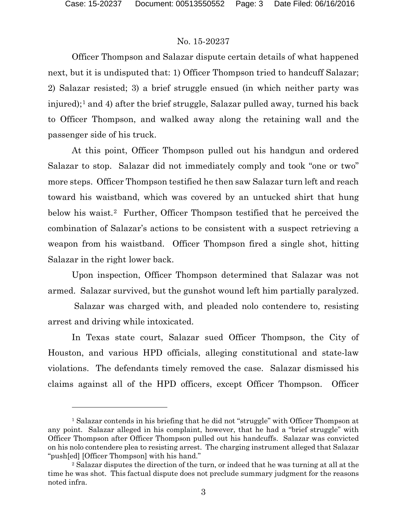### No. 15-20237

Officer Thompson and Salazar dispute certain details of what happened next, but it is undisputed that: 1) Officer Thompson tried to handcuff Salazar; 2) Salazar resisted; 3) a brief struggle ensued (in which neither party was injured);<sup>[1](#page-2-0)</sup> and 4) after the brief struggle, Salazar pulled away, turned his back to Officer Thompson, and walked away along the retaining wall and the passenger side of his truck.

At this point, Officer Thompson pulled out his handgun and ordered Salazar to stop. Salazar did not immediately comply and took "one or two" more steps. Officer Thompson testified he then saw Salazar turn left and reach toward his waistband, which was covered by an untucked shirt that hung below his waist.<sup>2</sup> Further, Officer Thompson testified that he perceived the combination of Salazar's actions to be consistent with a suspect retrieving a weapon from his waistband. Officer Thompson fired a single shot, hitting Salazar in the right lower back.

Upon inspection, Officer Thompson determined that Salazar was not armed. Salazar survived, but the gunshot wound left him partially paralyzed.

Salazar was charged with, and pleaded nolo contendere to, resisting arrest and driving while intoxicated.

In Texas state court, Salazar sued Officer Thompson, the City of Houston, and various HPD officials, alleging constitutional and state-law violations. The defendants timely removed the case. Salazar dismissed his claims against all of the HPD officers, except Officer Thompson. Officer

<span id="page-2-0"></span><sup>&</sup>lt;sup>1</sup> Salazar contends in his briefing that he did not "struggle" with Officer Thompson at any point. Salazar alleged in his complaint, however, that he had a "brief struggle" with Officer Thompson after Officer Thompson pulled out his handcuffs. Salazar was convicted on his nolo contendere plea to resisting arrest. The charging instrument alleged that Salazar "push[ed] [Officer Thompson] with his hand."

<span id="page-2-1"></span><sup>&</sup>lt;sup>2</sup> Salazar disputes the direction of the turn, or indeed that he was turning at all at the time he was shot. This factual dispute does not preclude summary judgment for the reasons noted infra.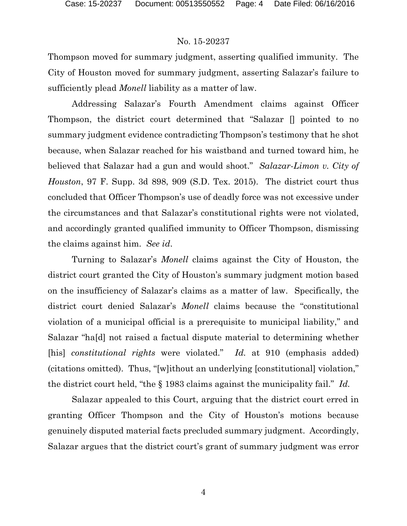Thompson moved for summary judgment, asserting qualified immunity. The City of Houston moved for summary judgment, asserting Salazar's failure to sufficiently plead *Monell* liability as a matter of law.

Addressing Salazar's Fourth Amendment claims against Officer Thompson, the district court determined that "Salazar [] pointed to no summary judgment evidence contradicting Thompson's testimony that he shot because, when Salazar reached for his waistband and turned toward him, he believed that Salazar had a gun and would shoot." *Salazar-Limon v. City of Houston*, 97 F. Supp. 3d 898, 909 (S.D. Tex. 2015). The district court thus concluded that Officer Thompson's use of deadly force was not excessive under the circumstances and that Salazar's constitutional rights were not violated, and accordingly granted qualified immunity to Officer Thompson, dismissing the claims against him. *See id*.

Turning to Salazar's *Monell* claims against the City of Houston, the district court granted the City of Houston's summary judgment motion based on the insufficiency of Salazar's claims as a matter of law. Specifically, the district court denied Salazar's *Monell* claims because the "constitutional violation of a municipal official is a prerequisite to municipal liability," and Salazar "ha[d] not raised a factual dispute material to determining whether [his] *constitutional rights* were violated." *Id.* at 910 (emphasis added) (citations omitted). Thus, "[w]ithout an underlying [constitutional] violation," the district court held, "the § 1983 claims against the municipality fail." *Id.*

Salazar appealed to this Court, arguing that the district court erred in granting Officer Thompson and the City of Houston's motions because genuinely disputed material facts precluded summary judgment. Accordingly, Salazar argues that the district court's grant of summary judgment was error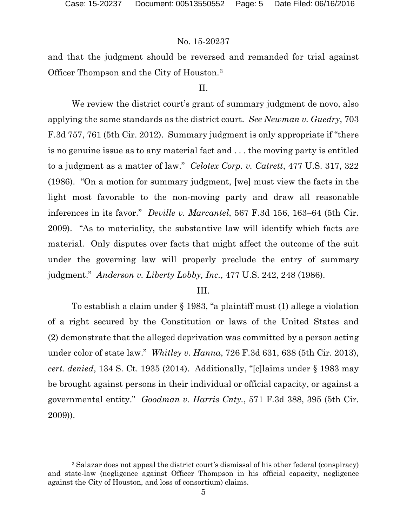### No. 15-20237

and that the judgment should be reversed and remanded for trial against Officer Thompson and the City of Houston.[3](#page-4-0)

### II.

We review the district court's grant of summary judgment de novo, also applying the same standards as the district court. *See Newman v. Guedry*, 703 F.3d 757, 761 (5th Cir. 2012). Summary judgment is only appropriate if "there is no genuine issue as to any material fact and . . . the moving party is entitled to a judgment as a matter of law." *Celotex Corp. v. Catrett*, 477 U.S. 317, 322 (1986). "On a motion for summary judgment, [we] must view the facts in the light most favorable to the non-moving party and draw all reasonable inferences in its favor." *Deville v. Marcantel*, 567 F.3d 156, 163–64 (5th Cir. 2009). "As to materiality, the substantive law will identify which facts are material. Only disputes over facts that might affect the outcome of the suit under the governing law will properly preclude the entry of summary judgment." *Anderson v. Liberty Lobby, Inc.*, 477 U.S. 242, 248 (1986).

### III.

To establish a claim under § 1983, "a plaintiff must (1) allege a violation of a right secured by the Constitution or laws of the United States and (2) demonstrate that the alleged deprivation was committed by a person acting under color of state law." *Whitley v. Hanna*, 726 F.3d 631, 638 (5th Cir. 2013), *cert. denied*, 134 S. Ct. 1935 (2014). Additionally, "[c]laims under § 1983 may be brought against persons in their individual or official capacity, or against a governmental entity." *Goodman v. Harris Cnty.*, 571 F.3d 388, 395 (5th Cir. 2009)).

<span id="page-4-0"></span><sup>&</sup>lt;sup>3</sup> Salazar does not appeal the district court's dismissal of his other federal (conspiracy) and state-law (negligence against Officer Thompson in his official capacity, negligence against the City of Houston, and loss of consortium) claims.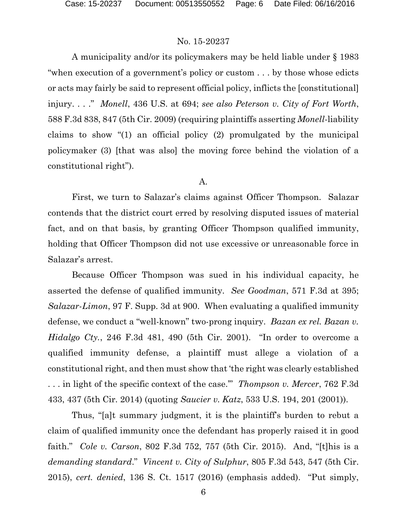A municipality and/or its policymakers may be held liable under § 1983 "when execution of a government's policy or custom . . . by those whose edicts or acts may fairly be said to represent official policy, inflicts the [constitutional] injury. . . ." *Monell*, 436 U.S. at 694; *see also Peterson v. City of Fort Worth*, 588 F.3d 838, 847 (5th Cir. 2009) (requiring plaintiffs asserting *Monell*-liability claims to show "(1) an official policy (2) promulgated by the municipal policymaker (3) [that was also] the moving force behind the violation of a constitutional right").

### A.

First, we turn to Salazar's claims against Officer Thompson. Salazar contends that the district court erred by resolving disputed issues of material fact, and on that basis, by granting Officer Thompson qualified immunity, holding that Officer Thompson did not use excessive or unreasonable force in Salazar's arrest.

Because Officer Thompson was sued in his individual capacity, he asserted the defense of qualified immunity. *See Goodman*, 571 F.3d at 395; *Salazar-Limon*, 97 F. Supp. 3d at 900. When evaluating a qualified immunity defense, we conduct a "well-known" two-prong inquiry. *Bazan ex rel. Bazan v. Hidalgo Cty.*, 246 F.3d 481, 490 (5th Cir. 2001). "In order to overcome a qualified immunity defense, a plaintiff must allege a violation of a constitutional right, and then must show that 'the right was clearly established . . . in light of the specific context of the case.'" *Thompson v. Mercer*, 762 F.3d 433, 437 (5th Cir. 2014) (quoting *Saucier v. Katz*, 533 U.S. 194, 201 (2001)).

Thus, "[a]t summary judgment, it is the plaintiff's burden to rebut a claim of qualified immunity once the defendant has properly raised it in good faith." *Cole v. Carson*, 802 F.3d 752, 757 (5th Cir. 2015). And, "[t]his is a *demanding standard*." *Vincent v. City of Sulphur*, 805 F.3d 543, 547 (5th Cir. 2015), *cert. denied*, 136 S. Ct. 1517 (2016) (emphasis added). "Put simply,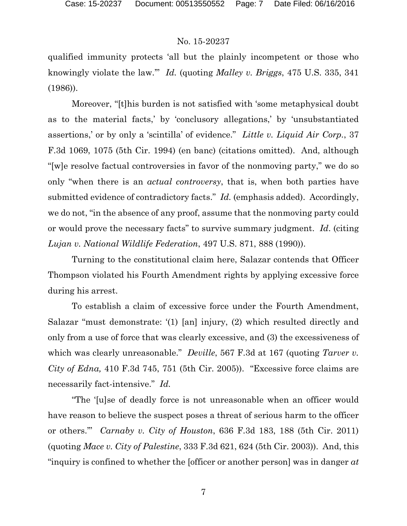qualified immunity protects 'all but the plainly incompetent or those who knowingly violate the law.'" *Id.* (quoting *Malley v. Briggs*, 475 U.S. 335, 341 (1986)).

Moreover, "[t]his burden is not satisfied with 'some metaphysical doubt as to the material facts,' by 'conclusory allegations,' by 'unsubstantiated assertions,' or by only a 'scintilla' of evidence." *Little v. Liquid Air Corp.*, 37 F.3d 1069, 1075 (5th Cir. 1994) (en banc) (citations omitted). And, although "[w]e resolve factual controversies in favor of the nonmoving party," we do so only "when there is an *actual controversy*, that is, when both parties have submitted evidence of contradictory facts." *Id.* (emphasis added). Accordingly, we do not, "in the absence of any proof, assume that the nonmoving party could or would prove the necessary facts" to survive summary judgment. *Id*. (citing *Lujan v. National Wildlife Federation*, 497 U.S. 871, 888 (1990)).

Turning to the constitutional claim here, Salazar contends that Officer Thompson violated his Fourth Amendment rights by applying excessive force during his arrest.

To establish a claim of excessive force under the Fourth Amendment, Salazar "must demonstrate: '(1) [an] injury, (2) which resulted directly and only from a use of force that was clearly excessive, and (3) the excessiveness of which was clearly unreasonable." *Deville*, 567 F.3d at 167 (quoting *Tarver v. City of Edna,* 410 F.3d 745, 751 (5th Cir. 2005)). "Excessive force claims are necessarily fact-intensive." *Id.*

"The '[u]se of deadly force is not unreasonable when an officer would have reason to believe the suspect poses a threat of serious harm to the officer or others.'" *Carnaby v. City of Houston*, 636 F.3d 183, 188 (5th Cir. 2011) (quoting *Mace v. City of Palestine*, 333 F.3d 621, 624 (5th Cir. 2003)). And, this "inquiry is confined to whether the [officer or another person] was in danger *at*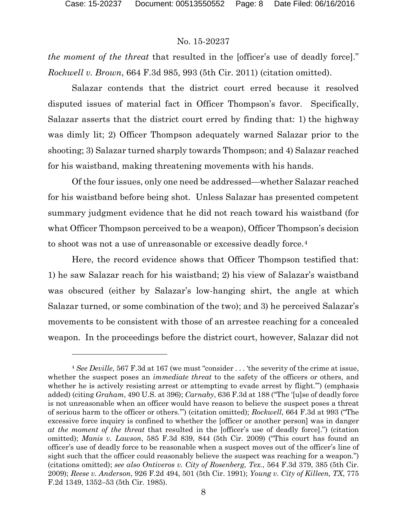## No. 15-20237

*the moment of the threat* that resulted in the [officer's use of deadly force]." *Rockwell v. Brown*, 664 F.3d 985, 993 (5th Cir. 2011) (citation omitted).

Salazar contends that the district court erred because it resolved disputed issues of material fact in Officer Thompson's favor. Specifically, Salazar asserts that the district court erred by finding that: 1) the highway was dimly lit; 2) Officer Thompson adequately warned Salazar prior to the shooting; 3) Salazar turned sharply towards Thompson; and 4) Salazar reached for his waistband, making threatening movements with his hands.

Of the four issues, only one need be addressed—whether Salazar reached for his waistband before being shot. Unless Salazar has presented competent summary judgment evidence that he did not reach toward his waistband (for what Officer Thompson perceived to be a weapon), Officer Thompson's decision to shoot was not a use of unreasonable or excessive deadly force.[4](#page-7-0) 

Here, the record evidence shows that Officer Thompson testified that: 1) he saw Salazar reach for his waistband; 2) his view of Salazar's waistband was obscured (either by Salazar's low-hanging shirt, the angle at which Salazar turned, or some combination of the two); and 3) he perceived Salazar's movements to be consistent with those of an arrestee reaching for a concealed weapon. In the proceedings before the district court, however, Salazar did not

<span id="page-7-0"></span><sup>4</sup> *See Deville*, 567 F.3d at 167 (we must "consider . . . 'the severity of the crime at issue, whether the suspect poses an *immediate threat* to the safety of the officers or others, and whether he is actively resisting arrest or attempting to evade arrest by flight.'") (emphasis added) (citing *Graham*, 490 U.S. at 396); *Carnaby*, 636 F.3d at 188 ("The '[u]se of deadly force is not unreasonable when an officer would have reason to believe the suspect poses a threat of serious harm to the officer or others.'") (citation omitted); *Rockwell*, 664 F.3d at 993 ("The excessive force inquiry is confined to whether the [officer or another person] was in danger *at the moment of the threat* that resulted in the [officer's use of deadly force].") (citation omitted); *Manis v. Lawson*, 585 F.3d 839, 844 (5th Cir. 2009) ("This court has found an officer's use of deadly force to be reasonable when a suspect moves out of the officer's line of sight such that the officer could reasonably believe the suspect was reaching for a weapon.") (citations omitted); *see also Ontiveros v. City of Rosenberg, Tex.*, 564 F.3d 379, 385 (5th Cir. 2009); *Reese v. Anderson*, 926 F.2d 494, 501 (5th Cir. 1991); *Young v. City of Killeen, TX*, 775 F.2d 1349, 1352–53 (5th Cir. 1985).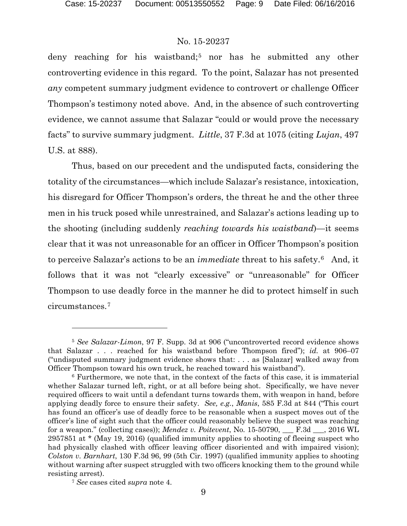deny reaching for his waistband;<sup>[5](#page-8-0)</sup> nor has he submitted any other controverting evidence in this regard. To the point, Salazar has not presented *any* competent summary judgment evidence to controvert or challenge Officer Thompson's testimony noted above. And, in the absence of such controverting evidence, we cannot assume that Salazar "could or would prove the necessary facts" to survive summary judgment. *Little*, 37 F.3d at 1075 (citing *Lujan*, 497 U.S. at 888).

Thus, based on our precedent and the undisputed facts, considering the totality of the circumstances—which include Salazar's resistance, intoxication, his disregard for Officer Thompson's orders, the threat he and the other three men in his truck posed while unrestrained, and Salazar's actions leading up to the shooting (including suddenly *reaching towards his waistband*)—it seems clear that it was not unreasonable for an officer in Officer Thompson's position to perceive Salazar's actions to be an *immediate* threat to his safety.[6](#page-8-1) And, it follows that it was not "clearly excessive" or "unreasonable" for Officer Thompson to use deadly force in the manner he did to protect himself in such circumstances.[7](#page-8-2)

l

<span id="page-8-0"></span><sup>5</sup> *See Salazar-Limon*, 97 F. Supp. 3d at 906 ("uncontroverted record evidence shows that Salazar . . . reached for his waistband before Thompson fired"); *id.* at 906–07 ("undisputed summary judgment evidence shows that: . . . as [Salazar] walked away from Officer Thompson toward his own truck, he reached toward his waistband").

<span id="page-8-1"></span><sup>6</sup> Furthermore, we note that, in the context of the facts of this case, it is immaterial whether Salazar turned left, right, or at all before being shot. Specifically, we have never required officers to wait until a defendant turns towards them, with weapon in hand, before applying deadly force to ensure their safety. *See, e.g.*, *Manis*, 585 F.3d at 844 ("This court has found an officer's use of deadly force to be reasonable when a suspect moves out of the officer's line of sight such that the officer could reasonably believe the suspect was reaching for a weapon." (collecting cases)); *Mendez v. Poitevent*, No. 15-50790, \_\_\_ F.3d \_\_\_, 2016 WL 2957851 at \* (May 19, 2016) (qualified immunity applies to shooting of fleeing suspect who had physically clashed with officer leaving officer disoriented and with impaired vision); *Colston v. Barnhart*, 130 F.3d 96, 99 (5th Cir. 1997) (qualified immunity applies to shooting without warning after suspect struggled with two officers knocking them to the ground while resisting arrest).

<span id="page-8-2"></span><sup>7</sup> *See* cases cited *supra* note 4.